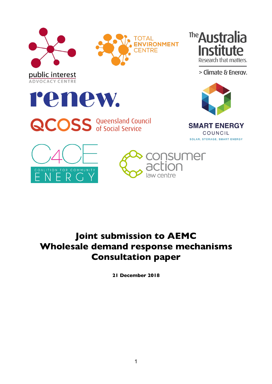





> Climate & Energy.



**QCOSS** Queensland Council



**SMART ENERGY** COUNCIL SOLAR, STORAGE, SMART ENERGY





# **Joint submission to AEMC Wholesale demand response mechanisms Consultation paper**

**21 December 2018**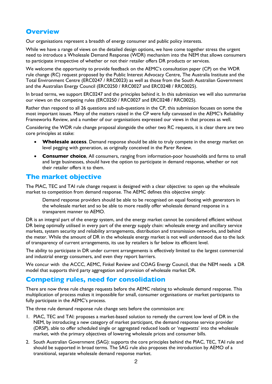# **Overview**

Our organisations represent a breadth of energy consumer and public policy interests.

While we have a range of views on the detailed design options, we have come together stress the urgent need to introduce a Wholesale Demand Response (WDR) mechanism into the NEM that allows consumers to participate irrespective of whether or not their retailer offers DR products or services.

We welcome the opportunity to provide feedback on the AEMC's consultation paper (CP) on the WDR rule change (RC) request proposed by the Public Interest Advocacy Centre, The Australia Institute and the Total Environment Centre (ERC0247 / RRC0023) as well as those from the South Australian Government and the Australian Energy Council (ERC0250 / RRC0027 and ERC0248 / RRC0025).

In broad terms, we support ERC0247 and the principles behind it. In this submission we will also summarise our views on the competing rules (ERC0250 / RRC0027 and ERC0248 / RRC0025).

Rather than respond to all 26 questions and sub-questions in the CP, this submission focuses on some the most important issues. Many of the matters raised in the CP were fully canvassed in the AEMC's Reliability Frameworks Review, and a number of our organisations expressed our views in that process as well.

Considering the WDR rule change proposal alongside the other two RC requests, it is clear there are two core principles at stake:

- **Wholesale access**. Demand response should be able to truly compete in the energy market on level pegging with generation, as originally conceived in the Parer Review.
- **Consumer choice**, All consumers, ranging from information-poor households and farms to small and large businesses, should have the option to participate in demand response, whether or not their retailer offers it to them.

## **The market objective**

The PIAC, TEC and TAI rule change request is designed with a clear objective: to open up the wholesale market to competition from demand response. The AEMC defines this objective simply:

Demand response providers should be able to be recognised on equal footing with generators in the wholesale market and so be able to more readily offer wholesale demand response in a transparent manner to AEMO.

DR is an integral part of the energy system, and the energy market cannot be considered efficient without DR being optimally utilised in every part of the energy supply chain: wholesale energy and ancillary service markets, system security and reliability arrangements, distribution and transmission networks, and behind the meter. While the amount of DR in the wholesale energy market is not well understood due to the lack of transparency of current arrangements, its use by retailers is far below its efficient level.

The ability to participate in DR under current arrangements is effectively limited to the largest commercial and industrial energy consumers, and even they report barriers.

We concur with the ACCC, AEMC, Finkel Review and COAG Energy Council, that the NEM needs a DR model that supports third party aggregation and provision of wholesale market DR.

## **Competing rules, need for consolidation**

There are now three rule change requests before the AEMC relating to wholesale demand response. This multiplication of process makes it impossible for small, consumer organisations or market participants to fully participate in the AEMC's process.

The three rule demand response rule change sets before the commission are:

- 1. PIAC, TEC and TAI: proposes a market-based solution to remedy the current low level of DR in the NEM, by introducing a new category of market participant, the demand response service provider (DRSP), able to offer scheduled single or aggregated reduced loads or 'negawatts' into the wholesale market, with the primary objectives of lowering wholesale prices and consumer bills.
- 2. South Australian Government (SAG): supports the core principles behind the PIAC, TEC, TAI rule and should be supported in broad terms. The SAG rule also proposes the introduction by AEMO of a transitional, separate wholesale demand response market.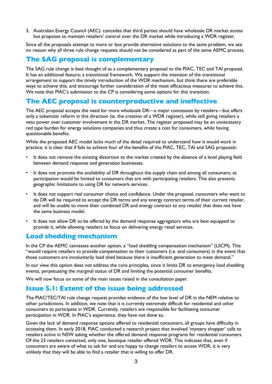3. Australian Energy Council (AEC): concedes that third parties should have wholesale DR market access but proposes to maintain retailers' control over the DR market while introducing a WDR register.

Since all the proposals attempt to more or less provide alternative solutions to the same problem, we see no reason why all three rule change requests should not be considered as part of the same AEMC process.

## **The SAG proposal is complementary**

The SAG rule change is best thought of as a complementary proposal to the PIAC, TEC and TAI proposal. It has an additional feature; a transitional framework. We support the intention of the transitional arrangement to support the timely introduction of the WDR mechanism, but think there are preferable ways to achieve this, and encourage further consideration of the most efficacious measures to achieve this. We note that PIAC's submission to the CP is considering some options for this transition.

## **The AEC proposal is counterproductive and ineffective**

The AEC proposal accepts the need for more wholesale DR—a major concession by retailers—but offers only a tokenistic reform in this direction (ie, the creation of a WDR register), while still giving retailers a veto power over customer involvement in the DR market. The register proposed may be an unnecessary red tape burden for energy solutions companies and thus create a cost for consumers, while having questionable benefits.

While the proposed AEC model lacks much of the detail required to understand how it would work in practice, it is clear that if fails to achieve four of the benefits of the PIAC, TEC, TAI and SAG proposals:

- It does not remove the existing distortion to the market created by the absence of a level playing field between demand response and generation businesses.
- It does not promote the availability of DR throughout the supply chain and among all consumers, as participation would be limited to consumers that are with participating retailers. This also presents geographic limitations to using DR for network services.
- It does not support real consumer choice and confidence. Under the proposal, consumers who want to do DR will be required to accept the DR terms and any energy contract terms of their current retailer, and will be unable to move their combined DR and energy contract to any retailer that does not have the same business model.
- It does not allow DR to be offered by the demand response aggregators who are best equipped to provide it, while allowing retailers to focus on delivering energy retail services.

## **Load shedding mechanism**

In the CP the AEMC canvasses another option, a "load shedding compensation mechanism" (LSCM). This "would require retailers to provide compensation to their customers (i.e. end consumers) in the event that those customers are involuntarily load shed because there is insufficient generation to meet demand."

In our view this option does not address the core principles, since it limits DR to emergency load shedding events, perpetuating the marginal status of DR and limiting the potential consumer benefits.

We will now focus on some of the main issues raised in the consultation paper.

#### **Issue 5.1: Extent of the issue being addressed**

The PIAC/TEC/TAI rule change request provides evidence of the low level of DR in the NEM relative to other jurisdictions. In addition, we note that it is currently extremely difficult for residential and other consumers to participate in WDR. Currently, retailers are responsible for facilitating consumer participation in WDR. In PIAC's experience, they have not done so.

Given the lack of demand response options offered to residential consumers, all groups have difficulty in accessing them. In early 2018, PIAC conducted a research project that involved 'mystery shopper' calls to retailers active in NSW asking whether the offered demand response programs for residential consumers. Of the 23 retailers contacted, only one, boutique retailer offered WDR. This indicates that, even if consumers are aware of what to ask for and are happy to change retailers to access WDR, it is very unlikely that they will be able to find a retailer that is willing to offer DR.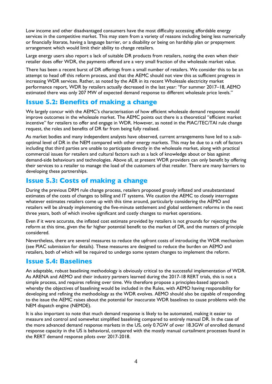Low income and other disadvantaged consumers have the most difficulty accessing affordable energy services in the competitive market. This may stem from a variety of reasons including being less numerically or financially literate, having a language barrier, or a disability or being on hardship plan or prepayment arrangement which would limit their ability to change retailers.

Large energy users also report a lack of suitable DR products from retailers, noting the even when their retailer does offer WDR, the payments offered are a very small fraction of the wholesale market value.

There has been a recent burst of DR offerings from a small number of retailers. We consider this to be an attempt to head off this reform process, and that the AEMC should not view this as sufficient progress in increasing WDR services. Rather, as noted by the AER in its recent Wholesale electricity market performance report, WDR by retailers actually decreased in the last year: "For summer 2017–18, AEMO estimated there was only 207 MW of expected demand response to different wholesale price levels."

## **Issue 5.2: Benefits of making a change**

We largely concur with the AEMC's characterisation of how efficient wholesale demand response would improve outcomes in the wholesale market. The AEMC points out there is a theoretical "efficient market incentive" for retailers to offer and engage in WDR. However, as noted in the PIAC/TEC/TAI rule change request, the roles and benefits of DR far from being fully realised.

As market bodies and many independent analysts have observed, current arrangements have led to a suboptimal level of DR in the NEM compared with other energy markets. This may be due to a raft of factors including that third parties are unable to participate directly in the wholesale market, along with practical commercial issues for retailers and cultural factors such as a lack of knowledge about or bias against demand-side behaviours and technologies. Above all, at present WDR providers can only benefit by offering their services to a retailer to manage the load of the customers of that retailer. There are many barriers to developing these partnerships.

# **Issue 5.3: Costs of making a change**

During the previous DRM rule change process, retailers proposed grossly inflated and unsubstantiated estimates of the costs of changes to billing and IT systems. We caution the AEMC to closely interrogate whatever estimates retailers come up with this time around, particularly considering the AEMO and retailers will be already implementing the five-minute settlement and global settlement reforms in the next three years, both of which involve significant and costly changes to market operations.

Even if it were accurate, the inflated cost estimate provided by retailers is not grounds for rejecting the reform at this time, given the far higher potential benefit to the market of DR, and the matters of principle considered.

Nevertheless, there are several measures to reduce the upfront costs of introducing the WDR mechanism (see PIAC submission for details). These measures are designed to reduce the burden on AEMO and retailers, both of which will be required to undergo some system changes to implement the reform.

## **Issue 5.4: Baselines**

An adaptable, robust baselining methodology is obviously critical to the successful implementation of WDR. As ARENA and AEMO and their industry partners learned during the 2017-18 RERT trials, this is not a simple process, and requires refining over time. We therefore propose a principles-based approach whereby the objectives of baselining would be included in the Rules, with AEMO having responsibility for developing and refining the methodology as the WDR evolves. AEMO should also be capable of responding to the issue the AEMC raises about the potential for inaccurate WDR baselines to cause problems with the NEM dispatch engine (NEMDE).

It is also important to note that much demand response is likely to be automated, making it easier to measure and control and somewhat simplified baselining compared to entirely manual DR. In the case of the more advanced demand response markets in the US, only 0.7GW of over 18.3GW of enrolled demand response capacity in the US is behavioral, compared with the mostly manual curtailment processes found in the RERT demand response pilots over 2017-2018.